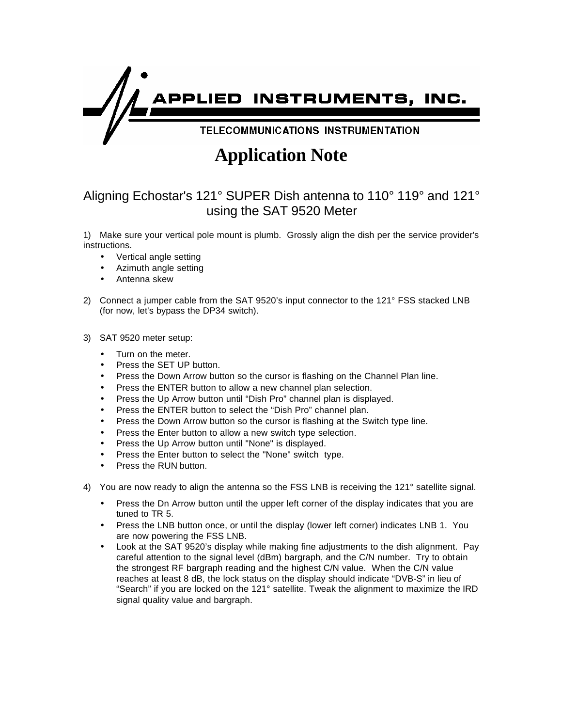

## **Application Note**

## Aligning Echostar's 121° SUPER Dish antenna to 110° 119° and 121° using the SAT 9520 Meter

1) Make sure your vertical pole mount is plumb. Grossly align the dish per the service provider's instructions.

- Vertical angle setting
- Azimuth angle setting
- Antenna skew
- 2) Connect a jumper cable from the SAT 9520's input connector to the 121° FSS stacked LNB (for now, let's bypass the DP34 switch).

## 3) SAT 9520 meter setup:

- Turn on the meter.
- Press the SET UP button.
- Press the Down Arrow button so the cursor is flashing on the Channel Plan line.
- Press the ENTER button to allow a new channel plan selection.
- Press the Up Arrow button until "Dish Pro" channel plan is displayed.
- Press the ENTER button to select the "Dish Pro" channel plan.
- Press the Down Arrow button so the cursor is flashing at the Switch type line.
- Press the Enter button to allow a new switch type selection.
- Press the Up Arrow button until "None" is displayed.
- Press the Enter button to select the "None" switch type.
- Press the RUN button.
- 4) You are now ready to align the antenna so the FSS LNB is receiving the 121° satellite signal.
	- Press the Dn Arrow button until the upper left corner of the display indicates that you are tuned to TR 5.
	- Press the LNB button once, or until the display (lower left corner) indicates LNB 1. You are now powering the FSS LNB.
	- Look at the SAT 9520's display while making fine adjustments to the dish alignment. Pay careful attention to the signal level (dBm) bargraph, and the C/N number. Try to obtain the strongest RF bargraph reading and the highest C/N value. When the C/N value reaches at least 8 dB, the lock status on the display should indicate "DVB-S" in lieu of "Search" if you are locked on the 121° satellite. Tweak the alignment to maximize the IRD signal quality value and bargraph.